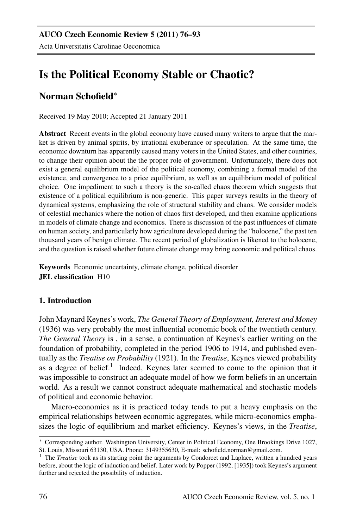# Is the Political Economy Stable or Chaotic?

# Norman Schofield<sup>∗</sup>

Received 19 May 2010; Accepted 21 January 2011

Abstract Recent events in the global economy have caused many writers to argue that the market is driven by animal spirits, by irrational exuberance or speculation. At the same time, the economic downturn has apparently caused many voters in the United States, and other countries, to change their opinion about the the proper role of government. Unfortunately, there does not exist a general equilibrium model of the political economy, combining a formal model of the existence, and convergence to a price equilibrium, as well as an equilibrium model of political choice. One impediment to such a theory is the so-called chaos theorem which suggests that existence of a political equilibrium is non-generic. This paper surveys results in the theory of dynamical systems, emphasizing the role of structural stability and chaos. We consider models of celestial mechanics where the notion of chaos first developed, and then examine applications in models of climate change and economics. There is discussion of the past influences of climate on human society, and particularly how agriculture developed during the "holocene," the past ten thousand years of benign climate. The recent period of globalization is likened to the holocene, and the question is raised whether future climate change may bring economic and political chaos.

Keywords Economic uncertainty, climate change, political disorder JEL classification H10 <sup>∗</sup>

### 1. Introduction

John Maynard Keynes's work, *The General Theory of Employment, Interest and Money* (1936) was very probably the most influential economic book of the twentieth century. *The General Theory* is , in a sense, a continuation of Keynes's earlier writing on the foundation of probability, completed in the period 1906 to 1914, and published eventually as the *Treatise on Probability* (1921). In the *Treatise*, Keynes viewed probability as a degree of belief.<sup>1</sup> Indeed, Keynes later seemed to come to the opinion that it was impossible to construct an adequate model of how we form beliefs in an uncertain world. As a result we cannot construct adequate mathematical and stochastic models of political and economic behavior.

Macro-economics as it is practiced today tends to put a heavy emphasis on the empirical relationships between economic aggregates, while micro-economics emphasizes the logic of equilibrium and market efficiency. Keynes's views, in the *Treatise*,

<sup>∗</sup> Corresponding author. Washington University, Center in Political Economy, One Brookings Drive 1027, St. Louis, Missouri 63130, USA. Phone: 3149355630, E-mail: schofield.norman@gmail.com.

<sup>&</sup>lt;sup>1</sup> The *Treatise* took as its starting point the arguments by Condorcet and Laplace, written a hundred years before, about the logic of induction and belief. Later work by Popper (1992, [1935]) took Keynes's argument further and rejected the possibility of induction.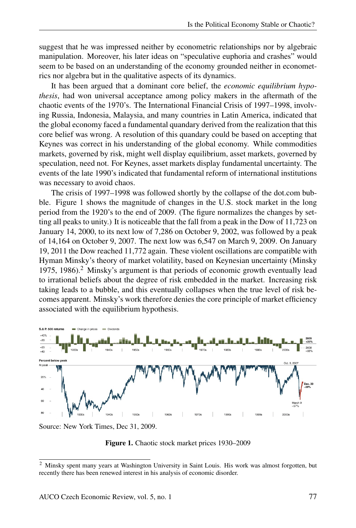suggest that he was impressed neither by econometric relationships nor by algebraic manipulation. Moreover, his later ideas on "speculative euphoria and crashes" would seem to be based on an understanding of the economy grounded neither in econometrics nor algebra but in the qualitative aspects of its dynamics.

It has been argued that a dominant core belief, the *economic equilibrium hypothesis*, had won universal acceptance among policy makers in the aftermath of the chaotic events of the 1970's. The International Financial Crisis of 1997–1998, involving Russia, Indonesia, Malaysia, and many countries in Latin America, indicated that the global economy faced a fundamental quandary derived from the realization that this core belief was wrong. A resolution of this quandary could be based on accepting that Keynes was correct in his understanding of the global economy. While commodities markets, governed by risk, might well display equilibrium, asset markets, governed by speculation, need not. For Keynes, asset markets display fundamental uncertainty. The events of the late 1990's indicated that fundamental reform of international institutions was necessary to avoid chaos.

The crisis of 1997–1998 was followed shortly by the collapse of the dot.com bubble. Figure 1 shows the magnitude of changes in the U.S. stock market in the long period from the 1920's to the end of 2009. (The figure normalizes the changes by setting all peaks to unity.) It is noticeable that the fall from a peak in the Dow of 11,723 on January 14, 2000, to its next low of 7,286 on October 9, 2002, was followed by a peak of 14,164 on October 9, 2007. The next low was 6,547 on March 9, 2009. On January 19, 2011 the Dow reached 11,772 again. These violent oscillations are compatible with Hyman Minsky's theory of market volatility, based on Keynesian uncertainty (Minsky 1975, 1986). $<sup>2</sup>$  Minsky's argument is that periods of economic growth eventually lead</sup> to irrational beliefs about the degree of risk embedded in the market. Increasing risk taking leads to a bubble, and this eventually collapses when the true level of risk becomes apparent. Minsky's work therefore denies the core principle of market efficiency associated with the equilibrium hypothesis.



Source: New York Times, Dec 31, 2009.

Figure 1. Chaotic stock market prices 1930–2009

<sup>2</sup> Minsky spent many years at Washington University in Saint Louis. His work was almost forgotten, but recently there has been renewed interest in his analysis of economic disorder.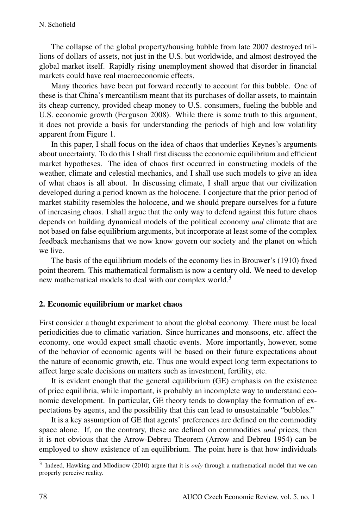The collapse of the global property/housing bubble from late 2007 destroyed trillions of dollars of assets, not just in the U.S. but worldwide, and almost destroyed the global market itself. Rapidly rising unemployment showed that disorder in financial markets could have real macroeconomic effects.

Many theories have been put forward recently to account for this bubble. One of these is that China's mercantilism meant that its purchases of dollar assets, to maintain its cheap currency, provided cheap money to U.S. consumers, fueling the bubble and U.S. economic growth (Ferguson 2008). While there is some truth to this argument, it does not provide a basis for understanding the periods of high and low volatility apparent from Figure 1.

In this paper, I shall focus on the idea of chaos that underlies Keynes's arguments about uncertainty. To do this I shall first discuss the economic equilibrium and efficient market hypotheses. The idea of chaos first occurred in constructing models of the weather, climate and celestial mechanics, and I shall use such models to give an idea of what chaos is all about. In discussing climate, I shall argue that our civilization developed during a period known as the holocene. I conjecture that the prior period of market stability resembles the holocene, and we should prepare ourselves for a future of increasing chaos. I shall argue that the only way to defend against this future chaos depends on building dynamical models of the political economy *and* climate that are not based on false equilibrium arguments, but incorporate at least some of the complex feedback mechanisms that we now know govern our society and the planet on which we live.

The basis of the equilibrium models of the economy lies in Brouwer's (1910) fixed point theorem. This mathematical formalism is now a century old. We need to develop new mathematical models to deal with our complex world.<sup>3</sup>

#### 2. Economic equilibrium or market chaos

First consider a thought experiment to about the global economy. There must be local periodicities due to climatic variation. Since hurricanes and monsoons, etc. affect the economy, one would expect small chaotic events. More importantly, however, some of the behavior of economic agents will be based on their future expectations about the nature of economic growth, etc. Thus one would expect long term expectations to affect large scale decisions on matters such as investment, fertility, etc.

It is evident enough that the general equilibrium (GE) emphasis on the existence of price equilibria, while important, is probably an incomplete way to understand economic development. In particular, GE theory tends to downplay the formation of expectations by agents, and the possibility that this can lead to unsustainable "bubbles."

It is a key assumption of GE that agents' preferences are defined on the commodity space alone. If, on the contrary, these are defined on commodities *and* prices, then it is not obvious that the Arrow-Debreu Theorem (Arrow and Debreu 1954) can be employed to show existence of an equilibrium. The point here is that how individuals

<sup>3</sup> Indeed, Hawking and Mlodinow (2010) argue that it is *only* through a mathematical model that we can properly perceive reality.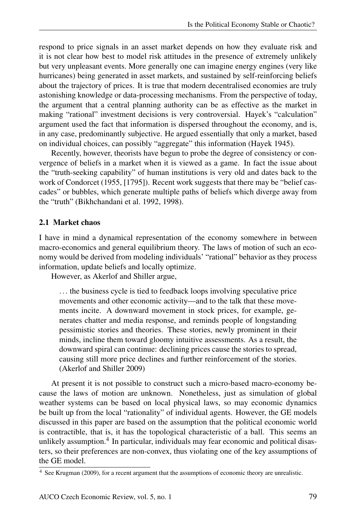respond to price signals in an asset market depends on how they evaluate risk and it is not clear how best to model risk attitudes in the presence of extremely unlikely but very unpleasant events. More generally one can imagine energy engines (very like hurricanes) being generated in asset markets, and sustained by self-reinforcing beliefs about the trajectory of prices. It is true that modern decentralised economies are truly astonishing knowledge or data-processing mechanisms. From the perspective of today, the argument that a central planning authority can be as effective as the market in making "rational" investment decisions is very controversial. Hayek's "calculation" argument used the fact that information is dispersed throughout the economy, and is, in any case, predominantly subjective. He argued essentially that only a market, based on individual choices, can possibly "aggregate" this information (Hayek 1945).

Recently, however, theorists have begun to probe the degree of consistency or convergence of beliefs in a market when it is viewed as a game. In fact the issue about the "truth-seeking capability" of human institutions is very old and dates back to the work of Condorcet (1955, [1795]). Recent work suggests that there may be "belief cascades" or bubbles, which generate multiple paths of beliefs which diverge away from the "truth" (Bikhchandani et al. 1992, 1998).

#### 2.1 Market chaos

I have in mind a dynamical representation of the economy somewhere in between macro-economics and general equilibrium theory. The laws of motion of such an economy would be derived from modeling individuals' "rational" behavior as they process information, update beliefs and locally optimize.

However, as Akerlof and Shiller argue,

... the business cycle is tied to feedback loops involving speculative price movements and other economic activity—and to the talk that these movements incite. A downward movement in stock prices, for example, generates chatter and media response, and reminds people of longstanding pessimistic stories and theories. These stories, newly prominent in their minds, incline them toward gloomy intuitive assessments. As a result, the downward spiral can continue: declining prices cause the stories to spread, causing still more price declines and further reinforcement of the stories. (Akerlof and Shiller 2009)

At present it is not possible to construct such a micro-based macro-economy because the laws of motion are unknown. Nonetheless, just as simulation of global weather systems can be based on local physical laws, so may economic dynamics be built up from the local "rationality" of individual agents. However, the GE models discussed in this paper are based on the assumption that the political economic world is contractible, that is, it has the topological characteristic of a ball. This seems an unlikely assumption.<sup>4</sup> In particular, individuals may fear economic and political disasters, so their preferences are non-convex, thus violating one of the key assumptions of the GE model.

<sup>4</sup> See Krugman (2009), for a recent argument that the assumptions of economic theory are unrealistic.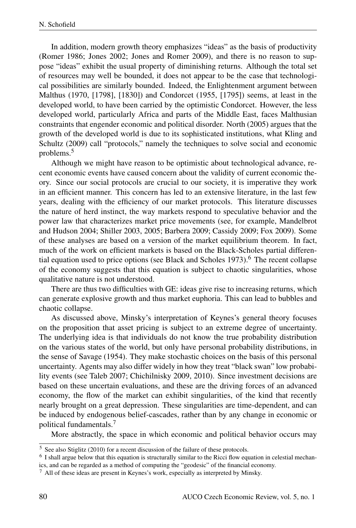In addition, modern growth theory emphasizes "ideas" as the basis of productivity (Romer 1986; Jones 2002; Jones and Romer 2009), and there is no reason to suppose "ideas" exhibit the usual property of diminishing returns. Although the total set of resources may well be bounded, it does not appear to be the case that technological possibilities are similarly bounded. Indeed, the Enlightenment argument between Malthus (1970, [1798], [1830]) and Condorcet (1955, [1795]) seems, at least in the developed world, to have been carried by the optimistic Condorcet. However, the less developed world, particularly Africa and parts of the Middle East, faces Malthusian constraints that engender economic and political disorder. North (2005) argues that the growth of the developed world is due to its sophisticated institutions, what Kling and Schultz (2009) call "protocols," namely the techniques to solve social and economic problems.<sup>5</sup>

Although we might have reason to be optimistic about technological advance, recent economic events have caused concern about the validity of current economic theory. Since our social protocols are crucial to our society, it is imperative they work in an efficient manner. This concern has led to an extensive literature, in the last few years, dealing with the efficiency of our market protocols. This literature discusses the nature of herd instinct, the way markets respond to speculative behavior and the power law that characterizes market price movements (see, for example, Mandelbrot and Hudson 2004; Shiller 2003, 2005; Barbera 2009; Cassidy 2009; Fox 2009). Some of these analyses are based on a version of the market equilibrium theorem. In fact, much of the work on efficient markets is based on the Black-Scholes partial differential equation used to price options (see Black and Scholes 1973).<sup>6</sup> The recent collapse of the economy suggests that this equation is subject to chaotic singularities, whose qualitative nature is not understood.

There are thus two difficulties with GE: ideas give rise to increasing returns, which can generate explosive growth and thus market euphoria. This can lead to bubbles and chaotic collapse.

As discussed above, Minsky's interpretation of Keynes's general theory focuses on the proposition that asset pricing is subject to an extreme degree of uncertainty. The underlying idea is that individuals do not know the true probability distribution on the various states of the world, but only have personal probability distributions, in the sense of Savage (1954). They make stochastic choices on the basis of this personal uncertainty. Agents may also differ widely in how they treat "black swan" low probability events (see Taleb 2007; Chichilnisky 2009, 2010). Since investment decisions are based on these uncertain evaluations, and these are the driving forces of an advanced economy, the flow of the market can exhibit singularities, of the kind that recently nearly brought on a great depression. These singularities are time-dependent, and can be induced by endogenous belief-cascades, rather than by any change in economic or political fundamentals.<sup>7</sup>

More abstractly, the space in which economic and political behavior occurs may

<sup>5</sup> See also Stiglitz (2010) for a recent discussion of the failure of these protocols.

<sup>&</sup>lt;sup>6</sup> I shall argue below that this equation is structurally similar to the Ricci flow equation in celestial mechanics, and can be regarded as a method of computing the "geodesic" of the financial economy.

 $<sup>7</sup>$  All of these ideas are present in Keynes's work, especially as interpreted by Minsky.</sup>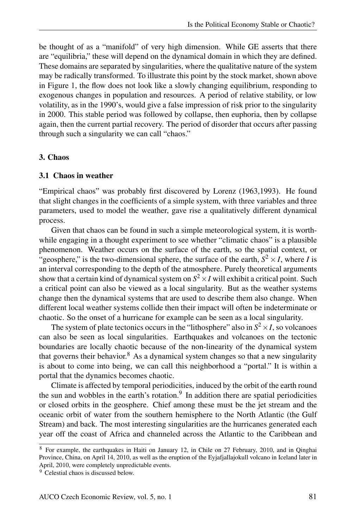be thought of as a "manifold" of very high dimension. While GE asserts that there are "equilibria," these will depend on the dynamical domain in which they are defined. These domains are separated by singularities, where the qualitative nature of the system may be radically transformed. To illustrate this point by the stock market, shown above in Figure 1, the flow does not look like a slowly changing equilibrium, responding to exogenous changes in population and resources. A period of relative stability, or low volatility, as in the 1990's, would give a false impression of risk prior to the singularity in 2000. This stable period was followed by collapse, then euphoria, then by collapse again, then the current partial recovery. The period of disorder that occurs after passing through such a singularity we can call "chaos."

#### 3. Chaos

#### 3.1 Chaos in weather

"Empirical chaos" was probably first discovered by Lorenz (1963,1993). He found that slight changes in the coefficients of a simple system, with three variables and three parameters, used to model the weather, gave rise a qualitatively different dynamical process.

Given that chaos can be found in such a simple meteorological system, it is worthwhile engaging in a thought experiment to see whether "climatic chaos" is a plausible phenomenon. Weather occurs on the surface of the earth, so the spatial context, or "geosphere," is the two-dimensional sphere, the surface of the earth,  $S^2 \times I$ , where *I* is an interval corresponding to the depth of the atmosphere. Purely theoretical arguments show that a certain kind of dynamical system on  $S^2 \times I$  will exhibit a critical point. Such a critical point can also be viewed as a local singularity. But as the weather systems change then the dynamical systems that are used to describe them also change. When different local weather systems collide then their impact will often be indeterminate or chaotic. So the onset of a hurricane for example can be seen as a local singularity.

The system of plate tectonics occurs in the "lithosphere" also in  $S^2 \times I$ , so volcanoes can also be seen as local singularities. Earthquakes and volcanoes on the tectonic boundaries are locally chaotic because of the non-linearity of the dynamical system that governs their behavior. $8$  As a dynamical system changes so that a new singularity is about to come into being, we can call this neighborhood a "portal." It is within a portal that the dynamics becomes chaotic.

Climate is affected by temporal periodicities, induced by the orbit of the earth round the sun and wobbles in the earth's rotation.<sup>9</sup> In addition there are spatial periodicities or closed orbits in the geosphere. Chief among these must be the jet stream and the oceanic orbit of water from the southern hemisphere to the North Atlantic (the Gulf Stream) and back. The most interesting singularities are the hurricanes generated each year off the coast of Africa and channeled across the Atlantic to the Caribbean and

<sup>8</sup> For example, the earthquakes in Haiti on January 12, in Chile on 27 February, 2010, and in Qinghai Province, China, on April 14, 2010, as well as the eruption of the Eyjafjallajokull volcano in Iceland later in April, 2010, were completely unpredictable events.

<sup>&</sup>lt;sup>9</sup> Celestial chaos is discussed below.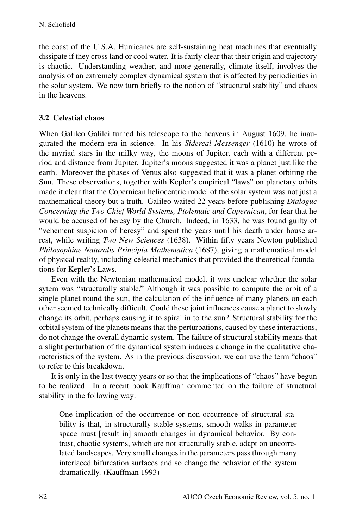the coast of the U.S.A. Hurricanes are self-sustaining heat machines that eventually dissipate if they cross land or cool water. It is fairly clear that their origin and trajectory is chaotic. Understanding weather, and more generally, climate itself, involves the analysis of an extremely complex dynamical system that is affected by periodicities in the solar system. We now turn briefly to the notion of "structural stability" and chaos in the heavens.

#### 3.2 Celestial chaos

When Galileo Galilei turned his telescope to the heavens in August 1609, he inaugurated the modern era in science. In his *Sidereal Messenger* (1610) he wrote of the myriad stars in the milky way, the moons of Jupiter, each with a different period and distance from Jupiter. Jupiter's moons suggested it was a planet just like the earth. Moreover the phases of Venus also suggested that it was a planet orbiting the Sun. These observations, together with Kepler's empirical "laws" on planetary orbits made it clear that the Copernican heliocentric model of the solar system was not just a mathematical theory but a truth. Galileo waited 22 years before publishing *Dialogue Concerning the Two Chief World Systems, Ptolemaic and Copernican*, for fear that he would be accused of heresy by the Church. Indeed, in 1633, he was found guilty of "vehement suspicion of heresy" and spent the years until his death under house arrest, while writing *Two New Sciences* (1638). Within fifty years Newton published *Philosophiae Naturalis Principia Mathematica* (1687), giving a mathematical model of physical reality, including celestial mechanics that provided the theoretical foundations for Kepler's Laws.

Even with the Newtonian mathematical model, it was unclear whether the solar sytem was "structurally stable." Although it was possible to compute the orbit of a single planet round the sun, the calculation of the influence of many planets on each other seemed technically difficult. Could these joint influences cause a planet to slowly change its orbit, perhaps causing it to spiral in to the sun? Structural stability for the orbital system of the planets means that the perturbations, caused by these interactions, do not change the overall dynamic system. The failure of structural stability means that a slight perturbation of the dynamical system induces a change in the qualitative characteristics of the system. As in the previous discussion, we can use the term "chaos" to refer to this breakdown.

It is only in the last twenty years or so that the implications of "chaos" have begun to be realized. In a recent book Kauffman commented on the failure of structural stability in the following way:

One implication of the occurrence or non-occurrence of structural stability is that, in structurally stable systems, smooth walks in parameter space must [result in] smooth changes in dynamical behavior. By contrast, chaotic systems, which are not structurally stable, adapt on uncorrelated landscapes. Very small changes in the parameters pass through many interlaced bifurcation surfaces and so change the behavior of the system dramatically. (Kauffman 1993)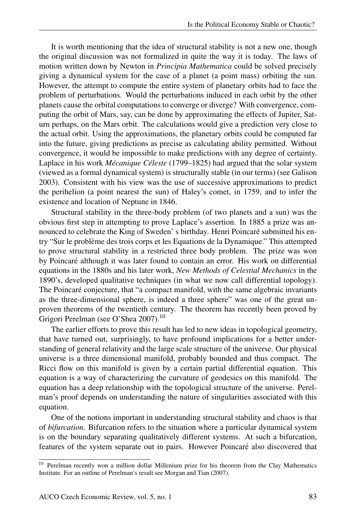It is worth mentioning that the idea of structural stability is not a new one, though the original discussion was not formalized in quite the way it is today. The laws of motion written down by Newton in *Principia Mathematica* could be solved precisely giving a dynamical system for the case of a planet (a point mass) orbiting the sun. However, the attempt to compute the entire system of planetary orbits had to face the problem of perturbations. Would the perturbations induced in each orbit by the other planets cause the orbital computations to converge or diverge? With convergence, computing the orbit of Mars, say, can be done by approximating the effects of Jupiter, Saturn perhaps, on the Mars orbit. The calculations would give a prediction very close to the actual orbit. Using the approximations, the planetary orbits could be computed far into the future, giving predictions as precise as calculating ability permitted. Without convergence, it would be impossible to make predictions with any degree of certainty. Laplace in his work *Mécanique Céleste* (1799–1825) had argued that the solar system (viewed as a formal dynamical system) is structurally stable (in our terms) (see Galison 2003). Consistent with his view was the use of successive approximations to predict the perihelion (a point nearest the sun) of Haley's comet, in 1759, and to infer the existence and location of Neptune in 1846.

Structural stability in the three-body problem (of two planets and a sun) was the obvious first step in attempting to prove Laplace's assertion. In 1885 a prize was announced to celebrate the King of Sweden' s birthday. Henri Poincaré submitted his entry "Sur le problème des trois corps et les Equations de la Dynamique." This attempted to prove structural stability in a restricted three body problem. The prize was won by Poincaré although it was later found to contain an error. His work on differential equations in the 1880s and his later work, *New Methods of Celestial Mechanics* in the 1890's, developed qualitative techniques (in what we now call differential topology). The Poincaré conjecture, that "a compact manifold, with the same algebraic invariants as the three-dimensional sphere, is indeed a three sphere" was one of the great unproven theorems of the twentieth century. The theorem has recently been proved by Grigori Perelman (see O'Shea 2007).<sup>10</sup>

The earlier efforts to prove this result has led to new ideas in topological geometry, that have turned out, surprisingly, to have profound implications for a better understanding of general relativity and the large scale structure of the universe. Our physical universe is a three dimensional manifold, probably bounded and thus compact. The Ricci flow on this manifold is given by a certain partial differential equation. This equation is a way of characterizing the curvature of geodesics on this manifold. The equation has a deep relationship with the topological structure of the universe. Perelman's proof depends on understanding the nature of singularities associated with this equation.

One of the notions important in understanding structural stability and chaos is that of *bifurcation*. Bifurcation refers to the situation where a particular dynamical system is on the boundary separating qualitatively different systems. At such a bifurcation, features of the system separate out in pairs. However Poincaré also discovered that

<sup>&</sup>lt;sup>10</sup> Perelman recently won a million dollar Millenium prize for his theorem from the Clay Mathematics Institute. For an outline of Perelman's result see Morgan and Tian (2007).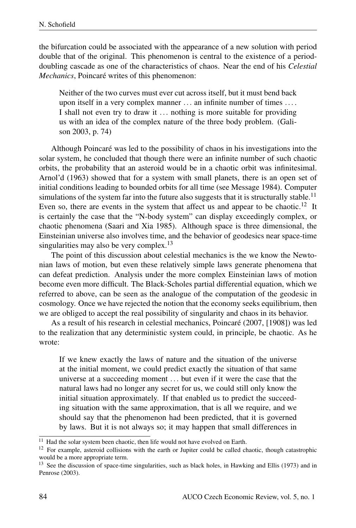the bifurcation could be associated with the appearance of a new solution with period double that of the original. This phenomenon is central to the existence of a perioddoubling cascade as one of the characteristics of chaos. Near the end of his *Celestial Mechanics*, Poincaré writes of this phenomenon:

Neither of the two curves must ever cut across itself, but it must bend back upon itself in a very complex manner ... an infinite number of times ... . I shall not even try to draw it ... nothing is more suitable for providing us with an idea of the complex nature of the three body problem. (Galison 2003, p. 74)

Although Poincaré was led to the possibility of chaos in his investigations into the solar system, he concluded that though there were an infinite number of such chaotic orbits, the probability that an asteroid would be in a chaotic orbit was infinitesimal. Arnol'd (1963) showed that for a system with small planets, there is an open set of initial conditions leading to bounded orbits for all time (see Message 1984). Computer simulations of the system far into the future also suggests that it is structurally stable.<sup>11</sup> Even so, there are events in the system that affect us and appear to be chaotic.<sup>12</sup> It is certainly the case that the "N-body system" can display exceedingly complex, or chaotic phenomena (Saari and Xia 1985). Although space is three dimensional, the Einsteinian universe also involves time, and the behavior of geodesics near space-time singularities may also be very complex.<sup>13</sup>

The point of this discussion about celestial mechanics is the we know the Newtonian laws of motion, but even these relatively simple laws generate phenomena that can defeat prediction. Analysis under the more complex Einsteinian laws of motion become even more difficult. The Black-Scholes partial differential equation, which we referred to above, can be seen as the analogue of the computation of the geodesic in cosmology. Once we have rejected the notion that the economy seeks equilibrium, then we are obliged to accept the real possibility of singularity and chaos in its behavior.

As a result of his research in celestial mechanics, Poincaré (2007, [1908]) was led to the realization that any deterministic system could, in principle, be chaotic. As he wrote:

If we knew exactly the laws of nature and the situation of the universe at the initial moment, we could predict exactly the situation of that same universe at a succeeding moment ... but even if it were the case that the natural laws had no longer any secret for us, we could still only know the initial situation approximately. If that enabled us to predict the succeeding situation with the same approximation, that is all we require, and we should say that the phenomenon had been predicted, that it is governed by laws. But it is not always so; it may happen that small differences in

 $\frac{11}{11}$  Had the solar system been chaotic, then life would not have evolved on Earth.

<sup>&</sup>lt;sup>12</sup> For example, asteroid collisions with the earth or Jupiter could be called chaotic, though catastrophic would be a more appropriate term.

<sup>&</sup>lt;sup>13</sup> See the discussion of space-time singularities, such as black holes, in Hawking and Ellis (1973) and in Penrose (2003).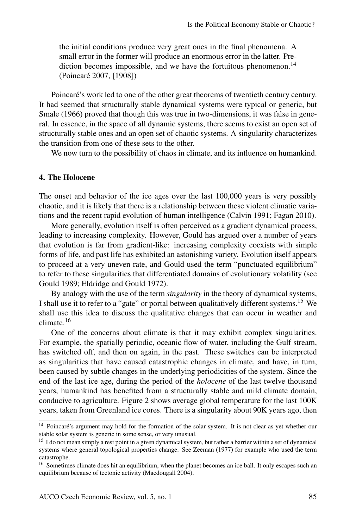the initial conditions produce very great ones in the final phenomena. A small error in the former will produce an enormous error in the latter. Prediction becomes impossible, and we have the fortuitous phenomenon.<sup>14</sup> (Poincare 2007, [1908]) ´

Poincaré's work led to one of the other great theorems of twentieth century century. It had seemed that structurally stable dynamical systems were typical or generic, but Smale (1966) proved that though this was true in two-dimensions, it was false in general. In essence, in the space of all dynamic systems, there seems to exist an open set of structurally stable ones and an open set of chaotic systems. A singularity characterizes the transition from one of these sets to the other.

We now turn to the possibility of chaos in climate, and its influence on humankind.

#### 4. The Holocene

The onset and behavior of the ice ages over the last 100,000 years is very possibly chaotic, and it is likely that there is a relationship between these violent climatic variations and the recent rapid evolution of human intelligence (Calvin 1991; Fagan 2010).

More generally, evolution itself is often perceived as a gradient dynamical process, leading to increasing complexity. However, Gould has argued over a number of years that evolution is far from gradient-like: increasing complexity coexists with simple forms of life, and past life has exhibited an astonishing variety. Evolution itself appears to proceed at a very uneven rate, and Gould used the term "punctuated equilibrium" to refer to these singularities that differentiated domains of evolutionary volatility (see Gould 1989; Eldridge and Gould 1972).

By analogy with the use of the term *singularity* in the theory of dynamical systems, I shall use it to refer to a "gate" or portal between qualitatively different systems.<sup>15</sup> We shall use this idea to discuss the qualitative changes that can occur in weather and climate.<sup>16</sup>

One of the concerns about climate is that it may exhibit complex singularities. For example, the spatially periodic, oceanic flow of water, including the Gulf stream, has switched off, and then on again, in the past. These switches can be interpreted as singularities that have caused catastrophic changes in climate, and have, in turn, been caused by subtle changes in the underlying periodicities of the system. Since the end of the last ice age, during the period of the *holocene* of the last twelve thousand years, humankind has benefited from a structurally stable and mild climate domain, conducive to agriculture. Figure 2 shows average global temperature for the last 100K years, taken from Greenland ice cores. There is a singularity about 90K years ago, then

 $\frac{14}{14}$  Poincaré's argument may hold for the formation of the solar system. It is not clear as yet whether our stable solar system is generic in some sense, or very unusual.

<sup>&</sup>lt;sup>15</sup> I do not mean simply a rest point in a given dynamical system, but rather a barrier within a set of dynamical systems where general topological properties change. See Zeeman (1977) for example who used the term catastrophe.

<sup>&</sup>lt;sup>16</sup> Sometimes climate does hit an equilibrium, when the planet becomes an ice ball. It only escapes such an equilibrium because of tectonic activity (Macdougall 2004).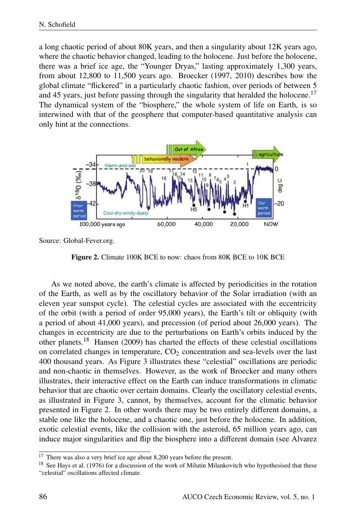a long chaotic period of about 80K years, and then a singularity about 12K years ago, where the chaotic behavior changed, leading to the holocene. Just before the holocene, there was a brief ice age, the "Younger Dryas," lasting approximately 1,300 years, from about 12,800 to 11,500 years ago. Broecker (1997, 2010) describes how the global climate "flickered" in a particularly chaotic fashion, over periods of between 5 and 45 years, just before passing through the singularity that heralded the holocene.<sup>17</sup> The dynamical system of the "biosphere," the whole system of life on Earth, is so interwined with that of the geosphere that computer-based quantitative analysis can only hint at the connections.



Source: Global-Fever.org.

Figure 2. Climate 100K BCE to now: chaos from 80K BCE to 10K BCE

As we noted above, the earth's climate is affected by periodicities in the rotation of the Earth, as well as by the oscillatory behavior of the Solar irradiation (with an eleven year sunspot cycle). The celestial cycles are associated with the eccentricity of the orbit (with a period of order 95,000 years), the Earth's tilt or obliquity (with a period of about 41,000 years), and precession (of period about 26,000 years). The changes in eccentricity are due to the perturbations on Earth's orbits induced by the other planets.<sup>18</sup> Hansen (2009) has charted the effects of these celestial oscillations on correlated changes in temperature,  $CO<sub>2</sub>$  concentration and sea-levels over the last 400 thousand years. As Figure 3 illustrates these "celestial" oscillations are periodic and non-chaotic in themselves. However, as the work of Broecker and many others illustrates, their interactive effect on the Earth can induce transformations in climatic behavior that are chaotic over certain domains. Clearly the oscillatory celestial events, as illustrated in Figure 3, cannot, by themselves, account for the climatic behavior presented in Figure 2. In other words there may be two entirely different domains, a stable one like the holocene, and a chaotic one, just before the holocene. In addition, exotic celestial events, like the collision with the asteroid, 65 million years ago, can induce major singularities and flip the biosphere into a different domain (see Alvarez

<sup>&</sup>lt;sup>17</sup> There was also a very brief ice age about 8,200 years before the present.

<sup>&</sup>lt;sup>18</sup> See Hays et al. (1976) for a discussion of the work of Milutin Milankovitch who hypothesised that these "celestial" oscillations affected climate.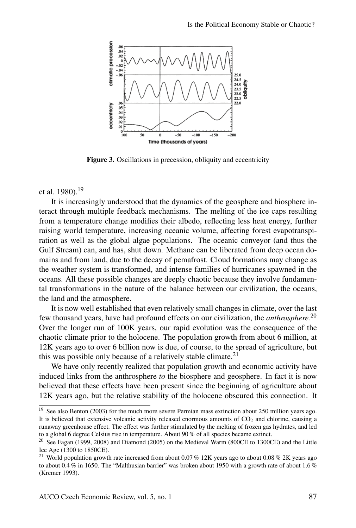

Figure 3. Oscillations in precession, obliquity and eccentricity

et al. 1980).<sup>19</sup>

It is increasingly understood that the dynamics of the geosphere and biosphere interact through multiple feedback mechanisms. The melting of the ice caps resulting from a temperature change modifies their albedo, reflecting less heat energy, further raising world temperature, increasing oceanic volume, affecting forest evapotranspiration as well as the global algae populations. The oceanic conveyor (and thus the Gulf Stream) can, and has, shut down. Methane can be liberated from deep ocean domains and from land, due to the decay of pemafrost. Cloud formations may change as the weather system is transformed, and intense families of hurricanes spawned in the oceans. All these possible changes are deeply chaotic because they involve fundamental transformations in the nature of the balance between our civilization, the oceans, the land and the atmosphere.

It is now well established that even relatively small changes in climate, over the last few thousand years, have had profound effects on our civilization, the *anthrosphere.*<sup>20</sup> Over the longer run of 100K years, our rapid evolution was the consequence of the chaotic climate prior to the holocene. The population growth from about 6 million, at 12K years ago to over 6 billion now is due, of course, to the spread of agriculture, but this was possible only because of a relatively stable climate.<sup>21</sup>

We have only recently realized that population growth and economic activity have induced links from the anthrosphere *to* the biosphere and geosphere. In fact it is now believed that these effects have been present since the beginning of agriculture about 12K years ago, but the relative stability of the holocene obscured this connection. It

<sup>&</sup>lt;sup>19</sup> See also Benton (2003) for the much more severe Permian mass extinction about 250 million years ago. It is believed that extensive volcanic activity released enormous amounts of CO<sub>2</sub> and chlorine, causing a runaway greenhouse effect. The effect was further stimulated by the melting of frozen gas hydrates, and led to a global 6 degree Celsius rise in temperature. About 90 % of all species became extinct.

<sup>20</sup> See Fagan (1999, 2008) and Diamond (2005) on the Medieval Warm (800CE to 1300CE) and the Little Ice Age (1300 to 1850CE).

<sup>&</sup>lt;sup>21</sup> World population growth rate increased from about 0.07 % 12K years ago to about 0.08 % 2K years ago to about 0.4% in 1650. The "Malthusian barrier" was broken about 1950 with a growth rate of about 1.6% (Kremer 1993).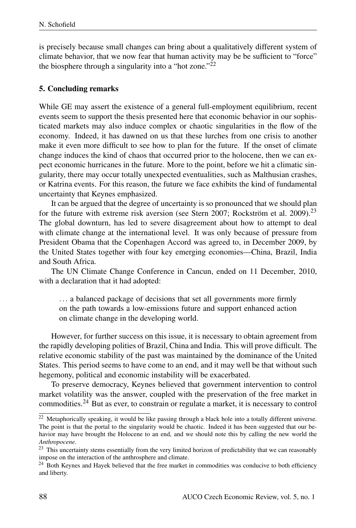is precisely because small changes can bring about a qualitatively different system of climate behavior, that we now fear that human activity may be be sufficient to "force" the biosphere through a singularity into a "hot zone." $^{22}$ 

#### 5. Concluding remarks

While GE may assert the existence of a general full-employment equilibrium, recent events seem to support the thesis presented here that economic behavior in our sophisticated markets may also induce complex or chaotic singularities in the flow of the economy. Indeed, it has dawned on us that these lurches from one crisis to another make it even more difficult to see how to plan for the future. If the onset of climate change induces the kind of chaos that occurred prior to the holocene, then we can expect economic hurricanes in the future. More to the point, before we hit a climatic singularity, there may occur totally unexpected eventualities, such as Malthusian crashes, or Katrina events. For this reason, the future we face exhibits the kind of fundamental uncertainty that Keynes emphasized.

It can be argued that the degree of uncertainty is so pronounced that we should plan for the future with extreme risk aversion (see Stern 2007; Rockström et al. 2009).<sup>23</sup> The global downturn, has led to severe disagreement about how to attempt to deal with climate change at the international level. It was only because of pressure from President Obama that the Copenhagen Accord was agreed to, in December 2009, by the United States together with four key emerging economies—China, Brazil, India and South Africa.

The UN Climate Change Conference in Cancun, ended on 11 December, 2010, with a declaration that it had adopted:

... a balanced package of decisions that set all governments more firmly on the path towards a low-emissions future and support enhanced action on climate change in the developing world.

However, for further success on this issue, it is necessary to obtain agreement from the rapidly developing polities of Brazil, China and India. This will prove difficult. The relative economic stability of the past was maintained by the dominance of the United States. This period seems to have come to an end, and it may well be that without such hegemony, political and economic instability will be exacerbated.

To preserve democracy, Keynes believed that government intervention to control market volatility was the answer, coupled with the preservation of the free market in commodities.<sup>24</sup> But as ever, to constrain or regulate a market, it is necessary to control

<sup>&</sup>lt;sup>22</sup> Metaphorically speaking, it would be like passing through a black hole into a totally different universe. The point is that the portal to the singularity would be chaotic. Indeed it has been suggested that our behavior may have brought the Holocene to an end, and we should note this by calling the new world the *Anthropocene*.

<sup>&</sup>lt;sup>23</sup> This uncertainty stems essentially from the very limited horizon of predictability that we can reasonably impose on the interaction of the anthrosphere and climate.

<sup>&</sup>lt;sup>24</sup> Both Keynes and Hayek believed that the free market in commodities was conducive to both efficiency and liberty.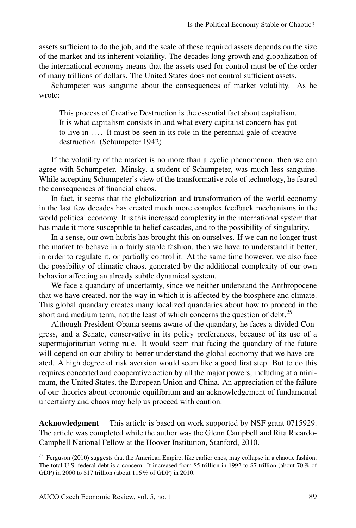assets sufficient to do the job, and the scale of these required assets depends on the size of the market and its inherent volatility. The decades long growth and globalization of the international economy means that the assets used for control must be of the order of many trillions of dollars. The United States does not control sufficient assets.

Schumpeter was sanguine about the consequences of market volatility. As he wrote:

This process of Creative Destruction is the essential fact about capitalism. It is what capitalism consists in and what every capitalist concern has got to live in ... . It must be seen in its role in the perennial gale of creative destruction. (Schumpeter 1942)

If the volatility of the market is no more than a cyclic phenomenon, then we can agree with Schumpeter. Minsky, a student of Schumpeter, was much less sanguine. While accepting Schumpeter's view of the transformative role of technology, he feared the consequences of financial chaos.

In fact, it seems that the globalization and transformation of the world economy in the last few decades has created much more complex feedback mechanisms in the world political economy. It is this increased complexity in the international system that has made it more susceptible to belief cascades, and to the possibility of singularity.

In a sense, our own hubris has brought this on ourselves. If we can no longer trust the market to behave in a fairly stable fashion, then we have to understand it better, in order to regulate it, or partially control it. At the same time however, we also face the possibility of climatic chaos, generated by the additional complexity of our own behavior affecting an already subtle dynamical system.

We face a quandary of uncertainty, since we neither understand the Anthropocene that we have created, nor the way in which it is affected by the biosphere and climate. This global quandary creates many localized quandaries about how to proceed in the short and medium term, not the least of which concerns the question of debt.<sup>25</sup>

Although President Obama seems aware of the quandary, he faces a divided Congress, and a Senate, conservative in its policy preferences, because of its use of a supermajoritarian voting rule. It would seem that facing the quandary of the future will depend on our ability to better understand the global economy that we have created. A high degree of risk aversion would seem like a good first step. But to do this requires concerted and cooperative action by all the major powers, including at a minimum, the United States, the European Union and China. An appreciation of the failure of our theories about economic equilibrium and an acknowledgement of fundamental uncertainty and chaos may help us proceed with caution.

Acknowledgment This article is based on work supported by NSF grant 0715929. The article was completed while the author was the Glenn Campbell and Rita Ricardo-Campbell National Fellow at the Hoover Institution, Stanford, 2010.

<sup>&</sup>lt;sup>25</sup> Ferguson (2010) suggests that the American Empire, like earlier ones, may collapse in a chaotic fashion. The total U.S. federal debt is a concern. It increased from \$5 trillion in 1992 to \$7 trillion (about 70 % of GDP) in 2000 to \$17 trillion (about 116 % of GDP) in 2010.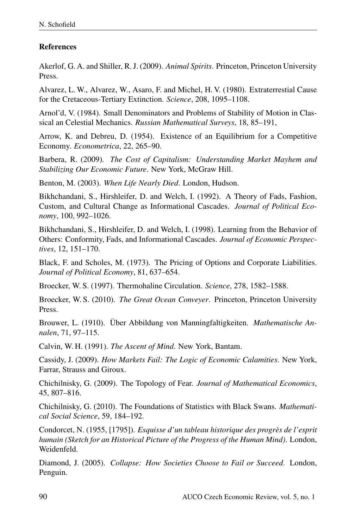## References

Akerlof, G. A. and Shiller, R. J. (2009). *Animal Spirits*. Princeton, Princeton University Press.

Alvarez, L. W., Alvarez, W., Asaro, F. and Michel, H. V. (1980). Extraterrestial Cause for the Cretaceous-Tertiary Extinction. *Science*, 208, 1095–1108.

Arnol'd, V. (1984). Small Denominators and Problems of Stability of Motion in Classical an Celestial Mechanics. *Russian Mathematical Surveys*, 18, 85–191,

Arrow, K. and Debreu, D. (1954). Existence of an Equilibrium for a Competitive Economy. *Econometrica*, 22, 265–90.

Barbera, R. (2009). *The Cost of Capitalism: Understanding Market Mayhem and Stabilizing Our Economic Future*. New York, McGraw Hill.

Benton, M. (2003). *When Life Nearly Died*. London, Hudson.

Bikhchandani, S., Hirshleifer, D. and Welch, I. (1992). A Theory of Fads, Fashion, Custom, and Cultural Change as Informational Cascades. *Journal of Political Economy*, 100, 992–1026.

Bikhchandani, S., Hirshleifer, D. and Welch, I. (1998). Learning from the Behavior of Others: Conformity, Fads, and Informational Cascades. *Journal of Economic Perspectives*, 12, 151–170.

Black, F. and Scholes, M. (1973). The Pricing of Options and Corporate Liabilities. *Journal of Political Economy*, 81, 637–654.

Broecker, W. S. (1997). Thermohaline Circulation. *Science*, 278, 1582–1588.

Broecker, W. S. (2010). *The Great Ocean Conveyer*. Princeton, Princeton University Press.

Brouwer, L. (1910). Über Abbildung von Manningfaltigkeiten. *Mathematische Annalen*, 71, 97–115.

Calvin, W. H. (1991). *The Ascent of Mind*. New York, Bantam.

Cassidy, J. (2009). *How Markets Fail: The Logic of Economic Calamities*. New York, Farrar, Strauss and Giroux.

Chichilnisky, G. (2009). The Topology of Fear. *Journal of Mathematical Economics*, 45, 807–816.

Chichilnisky, G. (2010). The Foundations of Statistics with Black Swans. *Mathematical Social Science*, 59, 184–192.

Condorcet, N. (1955, [1795]). *Esquisse d'un tableau historique des progres de l'esprit ` humain (Sketch for an Historical Picture of the Progress of the Human Mind)*. London, Weidenfeld.

Diamond, J. (2005). *Collapse: How Societies Choose to Fail or Succeed*. London, Penguin.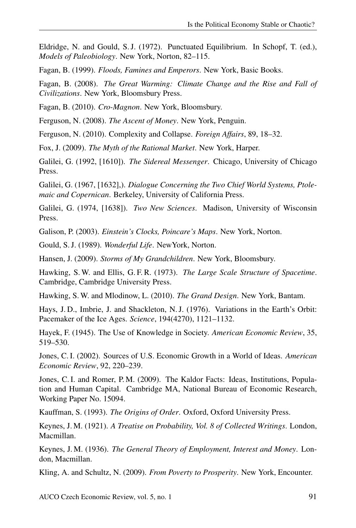Eldridge, N. and Gould, S. J. (1972). Punctuated Equilibrium. In Schopf, T. (ed.), *Models of Paleobiology*. New York, Norton, 82–115.

Fagan, B. (1999). *Floods, Famines and Emperors*. New York, Basic Books.

Fagan, B. (2008). *The Great Warming: Climate Change and the Rise and Fall of Civilizations*. New York, Bloomsbury Press.

Fagan, B. (2010). *Cro-Magnon*. New York, Bloomsbury.

Ferguson, N. (2008). *The Ascent of Money*. New York, Penguin.

Ferguson, N. (2010). Complexity and Collapse. *Foreign Affairs*, 89, 18–32.

Fox, J. (2009). *The Myth of the Rational Market*. New York, Harper.

Galilei, G. (1992, [1610]). *The Sidereal Messenger*. Chicago, University of Chicago Press.

Galilei, G. (1967, [1632],). *Dialogue Concerning the Two Chief World Systems, Ptolemaic and Copernican*. Berkeley, University of California Press.

Galilei, G. (1974, [1638]). *Two New Sciences*. Madison, University of Wisconsin Press.

Galison, P. (2003). *Einstein's Clocks, Poincare's Maps*. New York, Norton.

Gould, S. J. (1989). *Wonderful Life*. NewYork, Norton.

Hansen, J. (2009). *Storms of My Grandchildren*. New York, Bloomsbury.

Hawking, S. W. and Ellis, G. F. R. (1973). *The Large Scale Structure of Spacetime*. Cambridge, Cambridge University Press.

Hawking, S. W. and Mlodinow, L. (2010). *The Grand Design*. New York, Bantam.

Hays, J. D., Imbrie, J. and Shackleton, N. J. (1976). Variations in the Earth's Orbit: Pacemaker of the Ice Ages. *Science*, 194(4270), 1121–1132.

Hayek, F. (1945). The Use of Knowledge in Society. *American Economic Review*, 35, 519–530.

Jones, C. I. (2002). Sources of U.S. Economic Growth in a World of Ideas. *American Economic Review*, 92, 220–239.

Jones, C. I. and Romer, P. M. (2009). The Kaldor Facts: Ideas, Institutions, Population and Human Capital. Cambridge MA, National Bureau of Economic Research, Working Paper No. 15094.

Kauffman, S. (1993). *The Origins of Order*. Oxford, Oxford University Press.

Keynes, J. M. (1921). *A Treatise on Probability, Vol. 8 of Collected Writings*. London, Macmillan.

Keynes, J. M. (1936). *The General Theory of Employment, Interest and Money*. London, Macmillan.

Kling, A. and Schultz, N. (2009). *From Poverty to Prosperity*. New York, Encounter.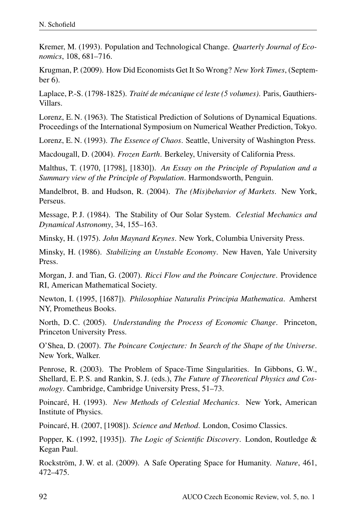Kremer, M. (1993). Population and Technological Change. *Quarterly Journal of Economics*, 108, 681–716.

Krugman, P. (2009). How Did Economists Get It So Wrong? *New York Times*, (September 6).

Laplace, P.-S. (1798-1825). *Traite de m ´ ecanique c ´ e leste (5 volumes) ´* . Paris, Gauthiers-Villars.

Lorenz, E. N. (1963). The Statistical Prediction of Solutions of Dynamical Equations. Proceedings of the International Symposium on Numerical Weather Prediction, Tokyo.

Lorenz, E. N. (1993). *The Essence of Chaos*. Seattle, University of Washington Press.

Macdougall, D. (2004). *Frozen Earth*. Berkeley, University of California Press.

Malthus, T. (1970, [1798], [1830]). *An Essay on the Principle of Population and a Summary view of the Principle of Population*. Harmondsworth, Penguin.

Mandelbrot, B. and Hudson, R. (2004). *The (Mis)behavior of Markets*. New York, Perseus.

Message, P. J. (1984). The Stability of Our Solar System. *Celestial Mechanics and Dynamical Astronomy*, 34, 155–163.

Minsky, H. (1975). *John Maynard Keynes*. New York, Columbia University Press.

Minsky, H. (1986). *Stabilizing an Unstable Economy*. New Haven, Yale University Press.

Morgan, J. and Tian, G. (2007). *Ricci Flow and the Poincare Conjecture*. Providence RI, American Mathematical Society.

Newton, I. (1995, [1687]). *Philosophiae Naturalis Principia Mathematica*. Amherst NY, Prometheus Books.

North, D. C. (2005). *Understanding the Process of Economic Change*. Princeton, Princeton University Press.

O'Shea, D. (2007). *The Poincare Conjecture: In Search of the Shape of the Universe*. New York, Walker.

Penrose, R. (2003). The Problem of Space-Time Singularities. In Gibbons, G. W., Shellard, E. P. S. and Rankin, S. J. (eds.), *The Future of Theoretical Physics and Cosmology*. Cambridge, Cambridge University Press, 51–73.

Poincaré, H. (1993). New Methods of Celestial Mechanics. New York, American Institute of Physics.

Poincaré, H. (2007, [1908]). Science and Method. London, Cosimo Classics.

Popper, K. (1992, [1935]). *The Logic of Scientific Discovery*. London, Routledge & Kegan Paul.

Rockström, J. W. et al. (2009). A Safe Operating Space for Humanity. Nature, 461, 472–475.